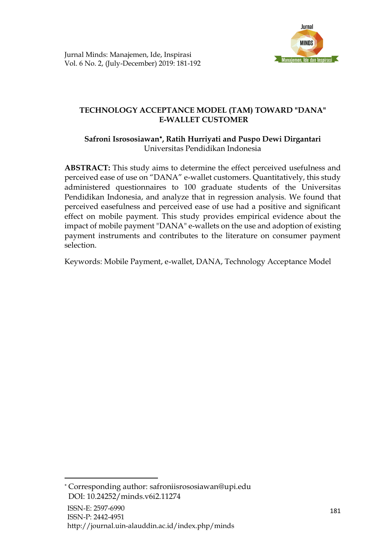

# **TECHNOLOGY ACCEPTANCE MODEL (TAM) TOWARD "DANA" E-WALLET CUSTOMER**

# **Safroni Isrososiawan , Ratih Hurriyati and Puspo Dewi Dirgantari** Universitas Pendidikan Indonesia

**ABSTRACT:** This study aims to determine the effect perceived usefulness and perceived ease of use on "DANA" e-wallet customers. Quantitatively, this study administered questionnaires to 100 graduate students of the Universitas Pendidikan Indonesia, and analyze that in regression analysis. We found that perceived easefulness and perceived ease of use had a positive and significant effect on mobile payment. This study provides empirical evidence about the impact of mobile payment "DANA" e-wallets on the use and adoption of existing payment instruments and contributes to the literature on consumer payment selection.

Keywords: Mobile Payment, e-wallet, DANA, Technology Acceptance Model

Corresponding author: [safroniisrososiawan@upi.edu](mailto:safroniisrososiawan@upi.edu) DOI: [10.24252/minds.v6i2.11274](http://journal.uin-alauddin.ac.id/index.php/minds/%E2%80%9Dhttp:/dx.doi.org/10.24252/minds.v6i2.11274%E2%80%9D)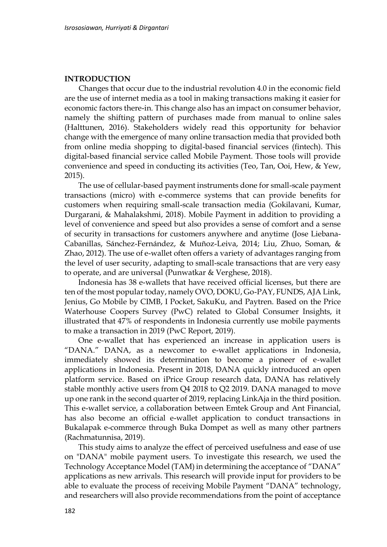#### **INTRODUCTION**

Changes that occur due to the industrial revolution 4.0 in the economic field are the use of internet media as a tool in making transactions making it easier for economic factors there-in. This change also has an impact on consumer behavior, namely the shifting pattern of purchases made from manual to online sales (Halttunen, 2016). Stakeholders widely read this opportunity for behavior change with the emergence of many online transaction media that provided both from online media shopping to digital-based financial services (fintech). This digital-based financial service called Mobile Payment. Those tools will provide convenience and speed in conducting its activities (Teo, Tan, Ooi, Hew, & Yew, 2015).

The use of cellular-based payment instruments done for small-scale payment transactions (micro) with e-commerce systems that can provide benefits for customers when requiring small-scale transaction media (Gokilavani, Kumar, Durgarani, & Mahalakshmi, 2018). Mobile Payment in addition to providing a level of convenience and speed but also provides a sense of comfort and a sense of security in transactions for customers anywhere and anytime (Jose Liebana-Cabanillas, Sánchez-Fernández, & Muñoz-Leiva, 2014; Liu, Zhuo, Soman, & Zhao, 2012). The use of e-wallet often offers a variety of advantages ranging from the level of user security, adapting to small-scale transactions that are very easy to operate, and are universal (Punwatkar & Verghese, 2018).

Indonesia has 38 e-wallets that have received official licenses, but there are ten of the most popular today, namely OVO, DOKU, Go-PAY, FUNDS, AJA Link, Jenius, Go Mobile by CIMB, I Pocket, SakuKu, and Paytren. Based on the Price Waterhouse Coopers Survey (PwC) related to Global Consumer Insights, it illustrated that 47% of respondents in Indonesia currently use mobile payments to make a transaction in 2019 (PwC Report, 2019).

One e-wallet that has experienced an increase in application users is "DANA." DANA, as a newcomer to e-wallet applications in Indonesia, immediately showed its determination to become a pioneer of e-wallet applications in Indonesia. Present in 2018, DANA quickly introduced an open platform service. Based on iPrice Group research data, DANA has relatively stable monthly active users from Q4 2018 to Q2 2019. DANA managed to move up one rank in the second quarter of 2019, replacing LinkAja in the third position. This e-wallet service, a collaboration between Emtek Group and Ant Financial, has also become an official e-wallet application to conduct transactions in Bukalapak e-commerce through Buka Dompet as well as many other partners (Rachmatunnisa, 2019).

This study aims to analyze the effect of perceived usefulness and ease of use on "DANA" mobile payment users. To investigate this research, we used the Technology Acceptance Model (TAM) in determining the acceptance of "DANA" applications as new arrivals. This research will provide input for providers to be able to evaluate the process of receiving Mobile Payment "DANA" technology, and researchers will also provide recommendations from the point of acceptance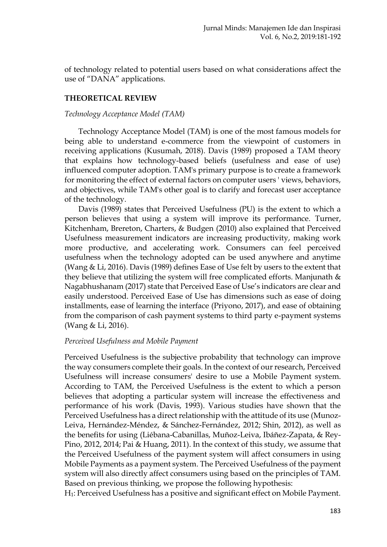of technology related to potential users based on what considerations affect the use of "DANA" applications.

## **THEORETICAL REVIEW**

### *Technology Acceptance Model (TAM)*

Technology Acceptance Model (TAM) is one of the most famous models for being able to understand e-commerce from the viewpoint of customers in receiving applications (Kusumah, 2018). Davis (1989) proposed a TAM theory that explains how technology-based beliefs (usefulness and ease of use) influenced computer adoption. TAM's primary purpose is to create a framework for monitoring the effect of external factors on computer users ' views, behaviors, and objectives, while TAM's other goal is to clarify and forecast user acceptance of the technology.

Davis (1989) states that Perceived Usefulness (PU) is the extent to which a person believes that using a system will improve its performance. Turner, Kitchenham, Brereton, Charters, & Budgen (2010) also explained that Perceived Usefulness measurement indicators are increasing productivity, making work more productive, and accelerating work. Consumers can feel perceived usefulness when the technology adopted can be used anywhere and anytime (Wang & Li, 2016). Davis (1989) defines Ease of Use felt by users to the extent that they believe that utilizing the system will free complicated efforts. Manjunath  $\&$ Nagabhushanam (2017) state that Perceived Ease of Use's indicators are clear and easily understood. Perceived Ease of Use has dimensions such as ease of doing installments, ease of learning the interface (Priyono, 2017), and ease of obtaining from the comparison of cash payment systems to third party e-payment systems (Wang & Li, 2016).

## *Perceived Usefulness and Mobile Payment*

Perceived Usefulness is the subjective probability that technology can improve the way consumers complete their goals. In the context of our research, Perceived Usefulness will increase consumers' desire to use a Mobile Payment system. According to TAM, the Perceived Usefulness is the extent to which a person believes that adopting a particular system will increase the effectiveness and performance of his work (Davis, 1993). Various studies have shown that the Perceived Usefulness has a direct relationship with the attitude of its use (Munoz-Leiva, Hernández-Méndez, & Sánchez-Fernández, 2012; Shin, 2012), as well as the benefits for using (Liébana-Cabanillas, Muñoz-Leiva, Ibáñez-Zapata, & Rey-Pino, 2012, 2014; Pai & Huang, 2011). In the context of this study, we assume that the Perceived Usefulness of the payment system will affect consumers in using Mobile Payments as a payment system. The Perceived Usefulness of the payment system will also directly affect consumers using based on the principles of TAM. Based on previous thinking, we propose the following hypothesis:

H1: Perceived Usefulness has a positive and significant effect on Mobile Payment.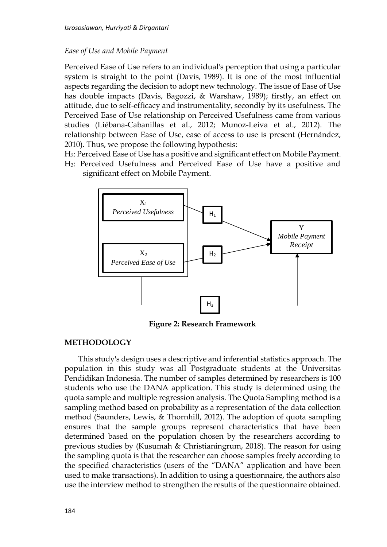### *Ease of Use and Mobile Payment*

Perceived Ease of Use refers to an individual's perception that using a particular system is straight to the point (Davis, 1989). It is one of the most influential aspects regarding the decision to adopt new technology. The issue of Ease of Use has double impacts (Davis, Bagozzi, & Warshaw, 1989); firstly, an effect on attitude, due to self-efficacy and instrumentality, secondly by its usefulness. The Perceived Ease of Use relationship on Perceived Usefulness came from various studies (Liébana-Cabanillas et al., 2012; Munoz-Leiva et al., 2012). The relationship between Ease of Use, ease of access to use is present (Hernández, 2010). Thus, we propose the following hypothesis:

H2: Perceived Ease of Use has a positive and significant effect on Mobile Payment.

H3: Perceived Usefulness and Perceived Ease of Use have a positive and significant effect on Mobile Payment.



**Figure 2: Research Framework**

### **METHODOLOGY**

This study's design uses a descriptive and inferential statistics approach. The population in this study was all Postgraduate students at the Universitas Pendidikan Indonesia. The number of samples determined by researchers is 100 students who use the DANA application. This study is determined using the quota sample and multiple regression analysis. The Quota Sampling method is a sampling method based on probability as a representation of the data collection method (Saunders, Lewis, & Thornhill, 2012). The adoption of quota sampling ensures that the sample groups represent characteristics that have been determined based on the population chosen by the researchers according to previous studies by (Kusumah & Christianingrum, 2018). The reason for using the sampling quota is that the researcher can choose samples freely according to the specified characteristics (users of the "DANA" application and have been used to make transactions). In addition to using a questionnaire, the authors also use the interview method to strengthen the results of the questionnaire obtained.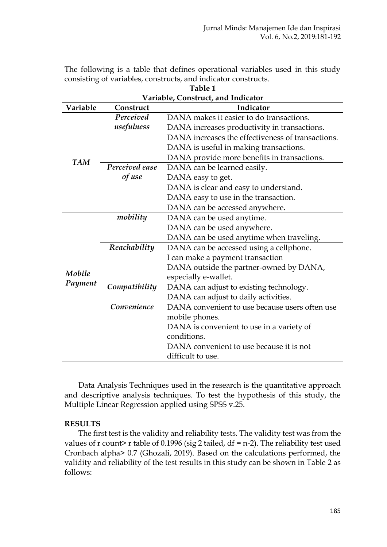The following is a table that defines operational variables used in this study consisting of variables, constructs, and indicator constructs.

| Table 1    |                                    |                                                   |  |  |  |
|------------|------------------------------------|---------------------------------------------------|--|--|--|
|            | Variable, Construct, and Indicator |                                                   |  |  |  |
| Variable   | Indicator<br>Construct             |                                                   |  |  |  |
|            | Perceived                          | DANA makes it easier to do transactions.          |  |  |  |
|            | usefulness                         | DANA increases productivity in transactions.      |  |  |  |
|            |                                    | DANA increases the effectiveness of transactions. |  |  |  |
|            |                                    | DANA is useful in making transactions.            |  |  |  |
| <b>TAM</b> |                                    | DANA provide more benefits in transactions.       |  |  |  |
|            | Perceived ease                     | DANA can be learned easily.                       |  |  |  |
|            | of use                             | DANA easy to get.                                 |  |  |  |
|            |                                    | DANA is clear and easy to understand.             |  |  |  |
|            |                                    | DANA easy to use in the transaction.              |  |  |  |
|            |                                    | DANA can be accessed anywhere.                    |  |  |  |
|            | mobility                           | DANA can be used anytime.                         |  |  |  |
|            |                                    | DANA can be used anywhere.                        |  |  |  |
|            |                                    | DANA can be used anytime when traveling.          |  |  |  |
|            | Reachability                       | DANA can be accessed using a cellphone.           |  |  |  |
|            |                                    | I can make a payment transaction                  |  |  |  |
|            |                                    | DANA outside the partner-owned by DANA,           |  |  |  |
| Mobile     |                                    | especially e-wallet.                              |  |  |  |
| Payment    | Compatibility                      | DANA can adjust to existing technology.           |  |  |  |
|            |                                    | DANA can adjust to daily activities.              |  |  |  |
|            | Convenience                        | DANA convenient to use because users often use    |  |  |  |
|            |                                    | mobile phones.                                    |  |  |  |
|            |                                    | DANA is convenient to use in a variety of         |  |  |  |
|            |                                    | conditions.                                       |  |  |  |
|            |                                    | DANA convenient to use because it is not          |  |  |  |
|            |                                    | difficult to use.                                 |  |  |  |

Data Analysis Techniques used in the research is the quantitative approach and descriptive analysis techniques. To test the hypothesis of this study, the Multiple Linear Regression applied using SPSS v.25.

### **RESULTS**

The first test is the validity and reliability tests. The validity test was from the values of r count> r table of 0.1996 (sig 2 tailed,  $df = n-2$ ). The reliability test used Cronbach alpha> 0.7 (Ghozali, 2019). Based on the calculations performed, the validity and reliability of the test results in this study can be shown in Table 2 as follows: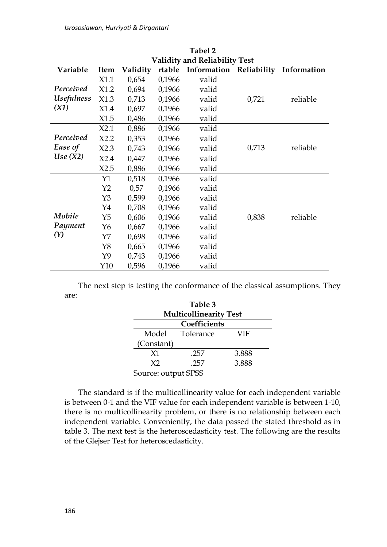*Isrososiawan, Hurriyati & Dirgantari*

|                                 | ⊥avci 4                              |       |             |             |             |          |  |
|---------------------------------|--------------------------------------|-------|-------------|-------------|-------------|----------|--|
|                                 | <b>Validity and Reliability Test</b> |       |             |             |             |          |  |
| Variable                        | rtable<br>Validity<br>Item           |       | Information | Reliability | Information |          |  |
|                                 | X1.1                                 | 0,654 | 0,1966      | valid       |             |          |  |
| Perceived                       | X1.2                                 | 0,694 | 0,1966      | valid       |             |          |  |
| <i><u><b>Usefulness</b></u></i> | X1.3                                 | 0,713 | 0,1966      | valid       | 0,721       | reliable |  |
| (X1)                            | X1.4                                 | 0,697 | 0,1966      | valid       |             |          |  |
|                                 | X1.5                                 | 0,486 | 0,1966      | valid       |             |          |  |
|                                 | X2.1                                 | 0,886 | 0,1966      | valid       |             |          |  |
| Perceived                       | X2.2                                 | 0,353 | 0,1966      | valid       |             |          |  |
| Ease of                         | X2.3                                 | 0,743 | 0,1966      | valid       | 0,713       | reliable |  |
| Use(X2)                         | X2.4                                 | 0,447 | 0,1966      | valid       |             |          |  |
|                                 | X2.5                                 | 0,886 | 0,1966      | valid       |             |          |  |
|                                 | Y1                                   | 0,518 | 0,1966      | valid       |             |          |  |
|                                 | Y2                                   | 0,57  | 0,1966      | valid       |             |          |  |
|                                 | Y3                                   | 0,599 | 0,1966      | valid       |             |          |  |
|                                 | Y4                                   | 0,708 | 0,1966      | valid       |             |          |  |
| Mobile                          | Y5                                   | 0,606 | 0,1966      | valid       | 0,838       | reliable |  |
| Payment                         | Y <sub>6</sub>                       | 0,667 | 0,1966      | valid       |             |          |  |
| (Y)                             | Y7                                   | 0,698 | 0,1966      | valid       |             |          |  |
|                                 | Y8                                   | 0,665 | 0,1966      | valid       |             |          |  |
|                                 | Y9                                   | 0,743 | 0,1966      | valid       |             |          |  |
|                                 | Y10                                  | 0,596 | 0,1966      | valid       |             |          |  |

**Tabel 2**

The next step is testing the conformance of the classical assumptions. They are:

| Table 3<br><b>Multicollinearity Test</b> |                  |       |  |  |  |  |
|------------------------------------------|------------------|-------|--|--|--|--|
| Coefficients                             |                  |       |  |  |  |  |
| Model                                    | Tolerance<br>VIF |       |  |  |  |  |
| (Constant)                               |                  |       |  |  |  |  |
| X1                                       | .257             | 3.888 |  |  |  |  |
| X <sub>2</sub>                           | 257              | 3.888 |  |  |  |  |
| $1.1 - 1.1$ C                            |                  |       |  |  |  |  |

Source: output SPSS

The standard is if the multicollinearity value for each independent variable is between 0-1 and the VIF value for each independent variable is between 1-10, there is no multicollinearity problem, or there is no relationship between each independent variable. Conveniently, the data passed the stated threshold as in table 3. The next test is the heteroscedasticity test. The following are the results of the Glejser Test for heteroscedasticity.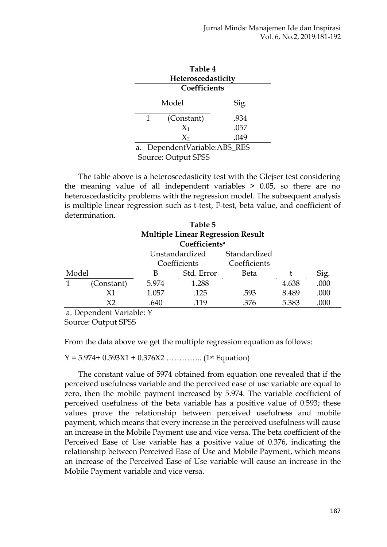## **Table 4 Heteroscedasticity Coefficients**

| Model                        | Sig. |  |  |
|------------------------------|------|--|--|
| (Constant)<br>1              | .934 |  |  |
| $X_1$                        | .057 |  |  |
| $X_2$                        | .049 |  |  |
| a. DependentVariable:ABS_RES |      |  |  |
|                              |      |  |  |

Source: Output SPSS

The table above is a heteroscedasticity test with the Glejser test considering the meaning value of all independent variables > 0.05, so there are no heteroscedasticity problems with the regression model. The subsequent analysis is multiple linear regression such as t-test, F-test, beta value, and coefficient of determination.

|                           |                                          |       | Table 5        |              |       |      |  |
|---------------------------|------------------------------------------|-------|----------------|--------------|-------|------|--|
|                           | <b>Multiple Linear Regression Result</b> |       |                |              |       |      |  |
| Coefficients <sup>a</sup> |                                          |       |                |              |       |      |  |
|                           |                                          |       | Unstandardized | Standardized |       |      |  |
|                           |                                          |       | Coefficients   | Coefficients |       |      |  |
| Model                     |                                          | B     | Std. Error     | Beta         |       | Sig. |  |
|                           | (Constant)                               | 5.974 | 1.288          |              | 4.638 | .000 |  |
|                           | X1                                       | 1.057 | .125           | .593         | 8.489 | .000 |  |
|                           | X <sub>2</sub>                           | .640  | .119           | .376         | 5.383 | .000 |  |
|                           | a. Dependent Variable: Y                 |       |                |              |       |      |  |
|                           | Source: Output SPSS                      |       |                |              |       |      |  |

From the data above we get the multiple regression equation as follows:

Y = 5.974+ 0.593X1 + 0.376X2 ………….. (1st Equation)

The constant value of 5974 obtained from equation one revealed that if the perceived usefulness variable and the perceived ease of use variable are equal to zero, then the mobile payment increased by 5.974. The variable coefficient of perceived usefulness of the beta variable has a positive value of 0.593; these values prove the relationship between perceived usefulness and mobile payment, which means that every increase in the perceived usefulness will cause an increase in the Mobile Payment use and vice versa. The beta coefficient of the Perceived Ease of Use variable has a positive value of 0.376, indicating the relationship between Perceived Ease of Use and Mobile Payment, which means an increase of the Perceived Ease of Use variable will cause an increase in the Mobile Payment variable and vice versa.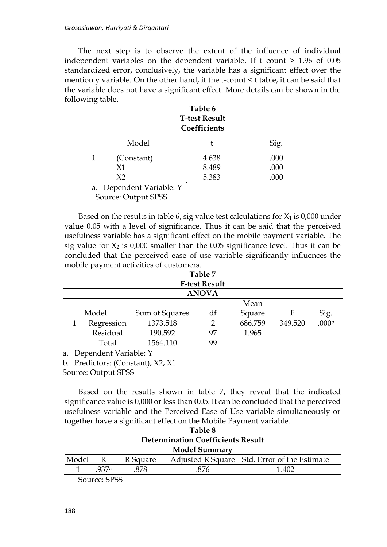The next step is to observe the extent of the influence of individual independent variables on the dependent variable. If t count > 1.96 of 0.05 standardized error, conclusively, the variable has a significant effect over the mention y variable. On the other hand, if the t-count < t table, it can be said that the variable does not have a significant effect. More details can be shown in the following table.

| Table 6<br><b>T-test Result</b> |              |      |  |  |  |
|---------------------------------|--------------|------|--|--|--|
|                                 | Coefficients |      |  |  |  |
| Model                           |              | Sig. |  |  |  |
| (Constant)                      | 4.638        | .000 |  |  |  |
| X1                              | 8.489        | .000 |  |  |  |
| X <sub>2</sub>                  | 5.383        | .000 |  |  |  |
| a. Dependent Variable: Y        |              |      |  |  |  |

Source: Output SPSS

Based on the results in table 6, sig value test calculations for  $X_1$  is 0,000 under value 0.05 with a level of significance. Thus it can be said that the perceived usefulness variable has a significant effect on the mobile payment variable. The sig value for  $X_2$  is 0,000 smaller than the 0.05 significance level. Thus it can be concluded that the perceived ease of use variable significantly influences the mobile payment activities of customers.

# **Table 7 F-test Result ANOVA**

|    |                       |                |    | Mean    |         |                   |
|----|-----------------------|----------------|----|---------|---------|-------------------|
|    | Model                 | Sum of Squares | df | Square  |         | Sig.              |
|    | Regression            | 1373.518       |    | 686.759 | 349.520 | .000 <sup>b</sup> |
|    | Residual              | 190.592        | 97 | 1.965   |         |                   |
|    | Total                 | 1564.110       | 99 |         |         |                   |
| a. | Dependent Variable: Y |                |    |         |         |                   |

b. Predictors: (Constant), X2, X1

Source: Output SPSS

Based on the results shown in table 7, they reveal that the indicated significance value is 0,000 or less than 0.05. It can be concluded that the perceived usefulness variable and the Perceived Ease of Use variable simultaneously or together have a significant effect on the Mobile Payment variable.

| Table 8                                  |                                 |          |  |                                              |  |  |  |
|------------------------------------------|---------------------------------|----------|--|----------------------------------------------|--|--|--|
| <b>Determination Coefficients Result</b> |                                 |          |  |                                              |  |  |  |
| <b>Model Summary</b>                     |                                 |          |  |                                              |  |  |  |
| Model R                                  |                                 | R Square |  | Adjusted R Square Std. Error of the Estimate |  |  |  |
|                                          | - 937a<br>-878<br>.876<br>1.402 |          |  |                                              |  |  |  |
| Source: SPSS                             |                                 |          |  |                                              |  |  |  |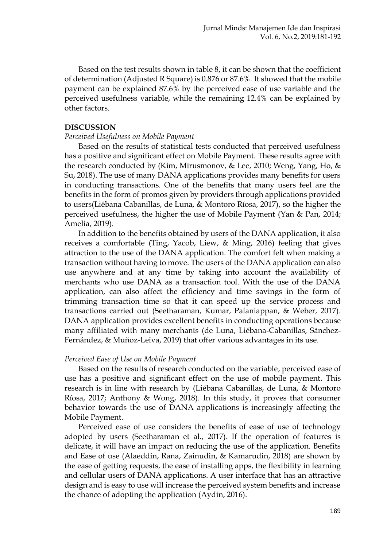Based on the test results shown in table 8, it can be shown that the coefficient of determination (Adjusted R Square) is 0.876 or 87.6%. It showed that the mobile payment can be explained 87.6% by the perceived ease of use variable and the perceived usefulness variable, while the remaining 12.4% can be explained by other factors.

#### **DISCUSSION**

#### *Perceived Usefulness on Mobile Payment*

Based on the results of statistical tests conducted that perceived usefulness has a positive and significant effect on Mobile Payment. These results agree with the research conducted by (Kim, Mirusmonov, & Lee, 2010; Weng, Yang, Ho, & Su, 2018). The use of many DANA applications provides many benefits for users in conducting transactions. One of the benefits that many users feel are the benefits in the form of promos given by providers through applications provided to users(Liébana Cabanillas, de Luna, & Montoro Ríosa, 2017), so the higher the perceived usefulness, the higher the use of Mobile Payment (Yan & Pan, 2014; Amelia, 2019).

In addition to the benefits obtained by users of the DANA application, it also receives a comfortable (Ting, Yacob, Liew, & Ming, 2016) feeling that gives attraction to the use of the DANA application. The comfort felt when making a transaction without having to move. The users of the DANA application can also use anywhere and at any time by taking into account the availability of merchants who use DANA as a transaction tool. With the use of the DANA application, can also affect the efficiency and time savings in the form of trimming transaction time so that it can speed up the service process and transactions carried out (Seetharaman, Kumar, Palaniappan, & Weber, 2017). DANA application provides excellent benefits in conducting operations because many affiliated with many merchants (de Luna, Liébana-Cabanillas, Sánchez-Fernández, & Muñoz-Leiva, 2019) that offer various advantages in its use.

#### *Perceived Ease of Use on Mobile Payment*

Based on the results of research conducted on the variable, perceived ease of use has a positive and significant effect on the use of mobile payment. This research is in line with research by (Liébana Cabanillas, de Luna, & Montoro Ríosa, 2017; Anthony & Wong, 2018). In this study, it proves that consumer behavior towards the use of DANA applications is increasingly affecting the Mobile Payment.

Perceived ease of use considers the benefits of ease of use of technology adopted by users (Seetharaman et al., 2017). If the operation of features is delicate, it will have an impact on reducing the use of the application. Benefits and Ease of use (Alaeddin, Rana, Zainudin, & Kamarudin, 2018) are shown by the ease of getting requests, the ease of installing apps, the flexibility in learning and cellular users of DANA applications. A user interface that has an attractive design and is easy to use will increase the perceived system benefits and increase the chance of adopting the application (Aydin, 2016).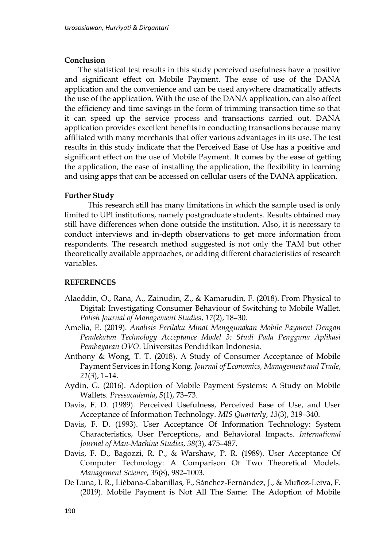#### **Conclusion**

The statistical test results in this study perceived usefulness have a positive and significant effect on Mobile Payment. The ease of use of the DANA application and the convenience and can be used anywhere dramatically affects the use of the application. With the use of the DANA application, can also affect the efficiency and time savings in the form of trimming transaction time so that it can speed up the service process and transactions carried out. DANA application provides excellent benefits in conducting transactions because many affiliated with many merchants that offer various advantages in its use. The test results in this study indicate that the Perceived Ease of Use has a positive and significant effect on the use of Mobile Payment. It comes by the ease of getting the application, the ease of installing the application, the flexibility in learning and using apps that can be accessed on cellular users of the DANA application.

#### **Further Study**

This research still has many limitations in which the sample used is only limited to UPI institutions, namely postgraduate students. Results obtained may still have differences when done outside the institution. Also, it is necessary to conduct interviews and in-depth observations to get more information from respondents. The research method suggested is not only the TAM but other theoretically available approaches, or adding different characteristics of research variables.

#### **REFERENCES**

- Alaeddin, O., Rana, A., Zainudin, Z., & Kamarudin, F. (2018). From Physical to Digital: Investigating Consumer Behaviour of Switching to Mobile Wallet. *Polish Journal of Management Studies*, *17*(2), 18–30.
- Amelia, E. (2019). *Analisis Perilaku Minat Menggunakan Mobile Payment Dengan Pendekatan Technology Acceptance Model 3: Studi Pada Pengguna Aplikasi Pembayaran OVO*. Universitas Pendidikan Indonesia.
- Anthony & Wong, T. T. (2018). A Study of Consumer Acceptance of Mobile Payment Services in Hong Kong. *Journal of Economics, Management and Trade*, *21*(3), 1–14.
- Aydin, G. (2016). Adoption of Mobile Payment Systems: A Study on Mobile Wallets. *Pressacademia*, *5*(1), 73–73.
- Davis, F. D. (1989). Perceived Usefulness, Perceived Ease of Use, and User Acceptance of Information Technology. *MIS Quarterly*, *13*(3), 319–340.
- Davis, F. D. (1993). User Acceptance Of Information Technology: System Characteristics, User Perceptions, and Behavioral Impacts. *International Journal of Man-Machine Studies*, *38*(3), 475–487.
- Davis, F. D., Bagozzi, R. P., & Warshaw, P. R. (1989). User Acceptance Of Computer Technology: A Comparison Of Two Theoretical Models. *Management Science*, *35*(8), 982–1003.
- De Luna, I. R., Liébana-Cabanillas, F., Sánchez-Fernández, J., & Muñoz-Leiva, F. (2019). Mobile Payment is Not All The Same: The Adoption of Mobile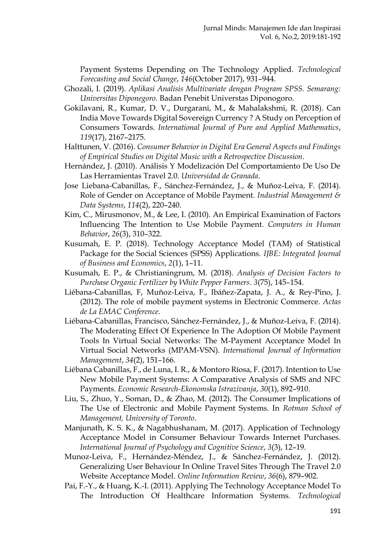Payment Systems Depending on The Technology Applied. *Technological Forecasting and Social Change*, *146*(October 2017), 931–944.

- Ghozali, I. (2019). *Aplikasi Analisis Multivariate dengan Program SPSS. Semarang: Universitas Diponegoro*. Badan Penebit Universtas Diponogoro.
- Gokilavani, R., Kumar, D. V., Durgarani, M., & Mahalakshmi, R. (2018). Can India Move Towards Digital Sovereign Currency ? A Study on Perception of Consumers Towards. *International Journal of Pure and Applied Mathematics*, *119*(17), 2167–2175.
- Halttunen, V. (2016). *Consumer Behavior in Digital Era General Aspects and Findings of Empirical Studies on Digital Music with a Retrospective Discussion*.
- Hernández, J. (2010). Análisis Y Modelización Del Comportamiento De Uso De Las Herramientas Travel 2.0. *Universidad de Granada*.
- Jose Liebana-Cabanillas, F., Sánchez-Fernández, J., & Muñoz-Leiva, F. (2014). Role of Gender on Acceptance of Mobile Payment. *Industrial Management & Data Systems*, *114*(2), 220–240.
- Kim, C., Mirusmonov, M., & Lee, I. (2010). An Empirical Examination of Factors Influencing The Intention to Use Mobile Payment. *Computers in Human Behavior*, *26*(3), 310–322.
- Kusumah, E. P. (2018). Technology Acceptance Model (TAM) of Statistical Package for the Social Sciences (SPSS) Applications. *IJBE: Integrated Journal of Business and Economics*, *2*(1), 1–11.
- Kusumah, E. P., & Christianingrum, M. (2018). *Analysis of Decision Factors to Purchase Organic Fertilizer by White Pepper Farmers*. *3*(75), 145–154.
- Liébana-Cabanillas, F, Muñoz-Leiva, F., Ibáñez-Zapata, J. A., & Rey-Pino, J. (2012). The role of mobile payment systems in Electronic Commerce. *Actas de La EMAC Conference*.
- Liébana-Cabanillas, Francisco, Sánchez-Fernández, J., & Muñoz-Leiva, F. (2014). The Moderating Effect Of Experience In The Adoption Of Mobile Payment Tools In Virtual Social Networks: The M-Payment Acceptance Model In Virtual Social Networks (MPAM-VSN). *International Journal of Information Management*, *34*(2), 151–166.
- Liébana Cabanillas, F., de Luna, I. R., & Montoro Ríosa, F. (2017). Intention to Use New Mobile Payment Systems: A Comparative Analysis of SMS and NFC Payments. *Economic Research-Ekonomska Istrazivanja*, *30*(1), 892–910.
- Liu, S., Zhuo, Y., Soman, D., & Zhao, M. (2012). The Consumer Implications of The Use of Electronic and Mobile Payment Systems. In *Rotman School of Management, University of Toronto*.
- Manjunath, K. S. K., & Nagabhushanam, M. (2017). Application of Technology Acceptance Model in Consumer Behaviour Towards Internet Purchases. *International Journal of Psychology and Cognitive Science*, *3*(3), 12–19.
- Munoz-Leiva, F., Hernández-Méndez, J., & Sánchez-Fernández, J. (2012). Generalizing User Behaviour In Online Travel Sites Through The Travel 2.0 Website Acceptance Model. *Online Information Review*, *36*(6), 879–902.
- Pai, F.-Y., & Huang, K.-I. (2011). Applying The Technology Acceptance Model To The Introduction Of Healthcare Information Systems. *Technological*